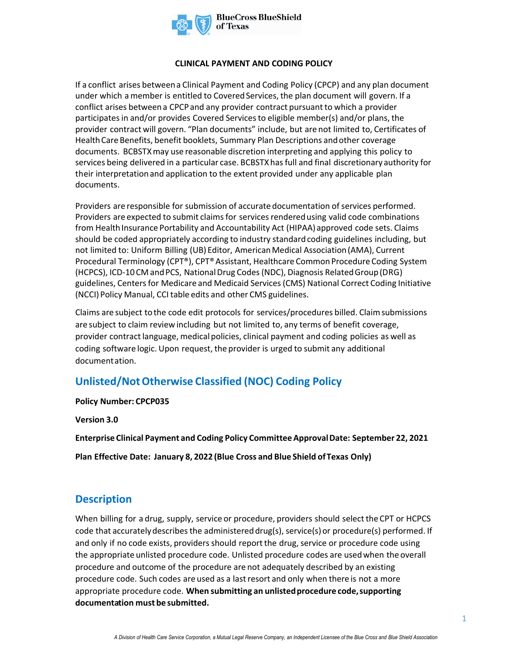

#### **CLINICAL PAYMENT AND CODING POLICY**

If a conflict arises between a Clinical Payment and Coding Policy (CPCP) and any plan document under which a member is entitled to Covered Services, the plan document will govern. If a conflict arises between a CPCP and any provider contract pursuant to which a provider participates in and/or provides Covered Services to eligible member(s) and/or plans, the provider contract will govern. "Plan documents" include, but are not limited to, Certificates of Health Care Benefits, benefit booklets, Summary Plan Descriptions and other coverage documents. BCBSTXmay use reasonable discretion interpreting and applying this policy to services being delivered in a particular case. BCBSTXhas full and final discretionary authority for their interpretation and application to the extent provided under any applicable plan documents.

Providers are responsible for submission of accurate documentation of services performed. Providers are expected to submit claims for services rendered using valid code combinations from Health Insurance Portability and Accountability Act (HIPAA) approved code sets. Claims should be coded appropriately according to industry standard coding guidelines including, but not limited to: Uniform Billing (UB) Editor, American Medical Association (AMA), Current Procedural Terminology (CPT®), CPT® Assistant, Healthcare Common Procedure Coding System (HCPCS), ICD-10 CM and PCS, National Drug Codes (NDC), Diagnosis Related Group (DRG) guidelines, Centers for Medicare and Medicaid Services (CMS) National Correct Coding Initiative (NCCI) Policy Manual, CCI table edits and other CMS guidelines.

Claims are subject to the code edit protocols for services/procedures billed. Claim submissions are subject to claim review including but not limited to, any terms of benefit coverage, provider contract language, medical policies, clinical payment and coding policies as well as coding software logic. Upon request, the provider is urged to submit any additional documentation.

# **Unlisted/Not Otherwise Classified (NOC) Coding Policy**

#### **Policy Number: CPCP035**

**Version 3.0** 

**Enterprise Clinical Payment and Coding Policy Committee Approval Date: September 22, 2021** 

**Plan Effective Date: January 8, 2022 (Blue Cross and Blue Shield of Texas Only)** 

### **Description**

When billing for a drug, supply, service or procedure, providers should select the CPT or HCPCS code that accurately describes the administered drug(s), service(s) or procedure(s) performed. If and only if no code exists, providers should report the drug, service or procedure code using the appropriate unlisted procedure code. Unlisted procedure codes are used when the overall procedure and outcome of the procedure are not adequately described by an existing procedure code. Such codes are used as a last resort and only when there is not a more appropriate procedure code. **When submitting an unlisted procedure code, supporting documentation must be submitted.**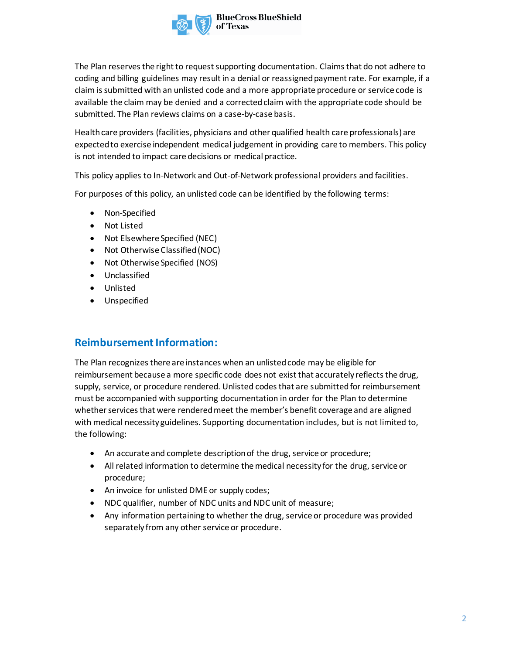

The Plan reserves the right to request supporting documentation. Claims that do not adhere to coding and billing guidelines may result in a denial or reassigned payment rate. For example, if a claim is submitted with an unlisted code and a more appropriate procedure or service code is available the claim may be denied and a corrected claim with the appropriate code should be submitted. The Plan reviews claims on a case-by-case basis.

Health care providers (facilities, physicians and other qualified health care professionals) are expected to exercise independent medical judgement in providing care to members. This policy is not intended to impact care decisions or medical practice.

This policy applies to In-Network and Out-of-Network professional providers and facilities.

For purposes of this policy, an unlisted code can be identified by the following terms:

- Non-Specified
- Not Listed
- Not Elsewhere Specified (NEC)
- Not Otherwise Classified (NOC)
- Not Otherwise Specified (NOS)
- Unclassified
- Unlisted
- Unspecified

### **Reimbursement Information:**

The Plan recognizes there are instances when an unlisted code may be eligible for reimbursement because a more specific code does not exist that accurately reflects the drug, supply, service, or procedure rendered. Unlisted codes that are submitted for reimbursement must be accompanied with supporting documentation in order for the Plan to determine whether services that were rendered meet the member's benefit coverage and are aligned with medical necessity guidelines. Supporting documentation includes, but is not limited to, the following:

- An accurate and complete description of the drug, service or procedure;
- All related information to determine the medical necessity for the drug, service or procedure;
- An invoice for unlisted DME or supply codes;
- NDC qualifier, number of NDC units and NDC unit of measure;
- Any information pertaining to whether the drug, service or procedure was provided separately from any other service or procedure.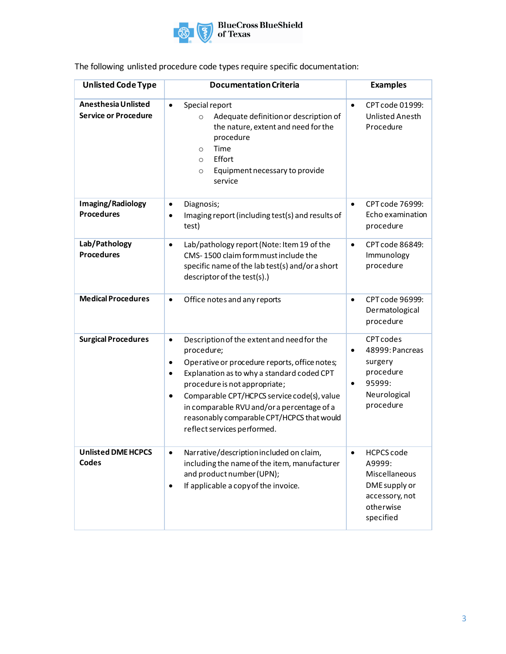

| <b>Unlisted Code Type</b>                          | <b>Documentation Criteria</b>                                                                                                                                                                                                                                                                                                                                                                                          | <b>Examples</b>                                                                                                              |
|----------------------------------------------------|------------------------------------------------------------------------------------------------------------------------------------------------------------------------------------------------------------------------------------------------------------------------------------------------------------------------------------------------------------------------------------------------------------------------|------------------------------------------------------------------------------------------------------------------------------|
| Anesthesia Unlisted<br><b>Service or Procedure</b> | Special report<br>$\bullet$<br>Adequate definition or description of<br>$\circ$<br>the nature, extent and need for the<br>procedure<br>Time<br>$\circ$<br>Effort<br>$\circ$<br>Equipment necessary to provide<br>$\circ$<br>service                                                                                                                                                                                    | CPT code 01999:<br>$\bullet$<br>Unlisted Anesth<br>Procedure                                                                 |
| Imaging/Radiology<br><b>Procedures</b>             | Diagnosis;<br>٠<br>Imaging report (including test(s) and results of<br>$\bullet$<br>test)                                                                                                                                                                                                                                                                                                                              | CPT code 76999:<br>$\bullet$<br>Echo examination<br>procedure                                                                |
| Lab/Pathology<br><b>Procedures</b>                 | Lab/pathology report (Note: Item 19 of the<br>$\bullet$<br>CMS-1500 claim formmust include the<br>specific name of the lab test(s) and/or a short<br>descriptor of the test(s).)                                                                                                                                                                                                                                       | CPT code 86849:<br>$\bullet$<br>Immunology<br>procedure                                                                      |
| <b>Medical Procedures</b>                          | Office notes and any reports<br>$\bullet$                                                                                                                                                                                                                                                                                                                                                                              | CPT code 96999:<br>$\bullet$<br>Dermatological<br>procedure                                                                  |
| <b>Surgical Procedures</b>                         | Description of the extent and need for the<br>$\bullet$<br>procedure;<br>Operative or procedure reports, office notes;<br>$\bullet$<br>Explanation as to why a standard coded CPT<br>$\bullet$<br>procedure is not appropriate;<br>Comparable CPT/HCPCS service code(s), value<br>$\bullet$<br>in comparable RVU and/or a percentage of a<br>reasonably comparable CPT/HCPCS that would<br>reflect services performed. | <b>CPT codes</b><br>48999: Pancreas<br>$\bullet$<br>surgery<br>procedure<br>95999:<br>$\bullet$<br>Neurological<br>procedure |
| <b>Unlisted DME HCPCS</b><br>Codes                 | Narrative/description included on claim,<br>$\bullet$<br>including the name of the item, manufacturer<br>and product number (UPN);<br>If applicable a copy of the invoice.<br>٠                                                                                                                                                                                                                                        | <b>HCPCS code</b><br>$\bullet$<br>A9999:<br>Miscellaneous<br>DME supply or<br>accessory, not<br>otherwise<br>specified       |

## The following unlisted procedure code types require specific documentation: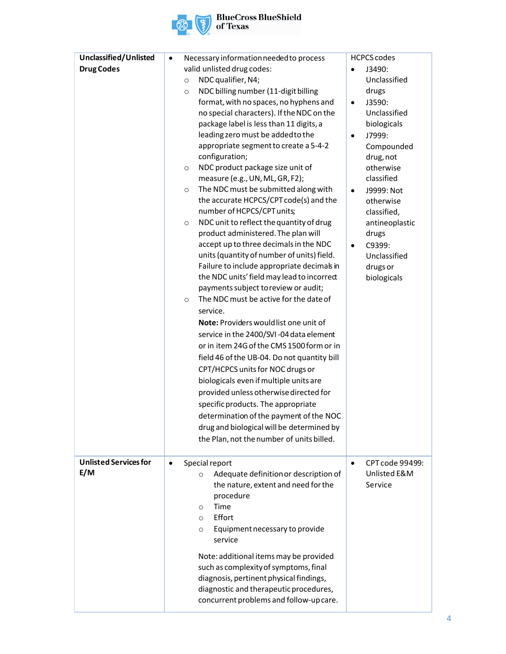

| Unclassified/Unlisted        | Necessary information needed to process<br>$\bullet$                                 | <b>HCPCS codes</b>           |
|------------------------------|--------------------------------------------------------------------------------------|------------------------------|
| <b>Drug Codes</b>            | valid unlisted drug codes:                                                           | J3490:<br>$\bullet$          |
|                              | NDC qualifier, N4;<br>$\circ$                                                        | Unclassified                 |
|                              | NDC billing number (11-digit billing<br>$\circ$                                      | drugs                        |
|                              | format, with no spaces, no hyphens and                                               | J3590:<br>$\bullet$          |
|                              | no special characters). If the NDC on the<br>package label is less than 11 digits, a | Unclassified<br>biologicals  |
|                              | leading zero must be added to the                                                    | J7999:<br>$\bullet$          |
|                              | appropriate segment to create a 5-4-2                                                | Compounded                   |
|                              | configuration;                                                                       | drug, not                    |
|                              | NDC product package size unit of<br>$\circ$                                          | otherwise                    |
|                              | measure (e.g., UN, ML, GR, F2);                                                      | classified                   |
|                              | The NDC must be submitted along with<br>$\circ$                                      | J9999: Not<br>$\bullet$      |
|                              | the accurate HCPCS/CPT code(s) and the                                               | otherwise                    |
|                              | number of HCPCS/CPT units;                                                           | classified,                  |
|                              | NDC unit to reflect the quantity of drug<br>$\circ$                                  | antineoplastic               |
|                              | product administered. The plan will                                                  | drugs                        |
|                              | accept up to three decimals in the NDC                                               | C9399:<br>$\bullet$          |
|                              | units (quantity of number of units) field.                                           | Unclassified                 |
|                              | Failure to include appropriate decimals in                                           | drugs or                     |
|                              | the NDC units' field may lead to incorrect                                           | biologicals                  |
|                              | payments subject to review or audit;<br>The NDC must be active for the date of       |                              |
|                              | $\circ$<br>service.                                                                  |                              |
|                              | Note: Providers would list one unit of                                               |                              |
|                              | service in the 2400/SVI-04 data element                                              |                              |
|                              | or in item 24G of the CMS 1500 form or in                                            |                              |
|                              | field 46 of the UB-04. Do not quantity bill                                          |                              |
|                              | CPT/HCPCS units for NOC drugs or                                                     |                              |
|                              | biologicals even if multiple units are                                               |                              |
|                              | provided unless otherwise directed for                                               |                              |
|                              | specific products. The appropriate                                                   |                              |
|                              | determination of the payment of the NOC                                              |                              |
|                              | drug and biological will be determined by                                            |                              |
|                              | the Plan, not the number of units billed.                                            |                              |
|                              |                                                                                      |                              |
| <b>Unlisted Services for</b> | Special report<br>$\bullet$                                                          | CPT code 99499:<br>$\bullet$ |
| E/M                          | Adequate definition or description of<br>$\circ$                                     | Unlisted E&M                 |
|                              | the nature, extent and need for the                                                  | Service                      |
|                              | procedure                                                                            |                              |
|                              | Time<br>$\circ$                                                                      |                              |
|                              | Effort<br>$\circ$                                                                    |                              |
|                              | Equipment necessary to provide<br>$\circ$                                            |                              |
|                              | service                                                                              |                              |
|                              | Note: additional items may be provided                                               |                              |
|                              | such as complexity of symptoms, final                                                |                              |
|                              | diagnosis, pertinent physical findings,                                              |                              |
|                              | diagnostic and therapeutic procedures,                                               |                              |
|                              | concurrent problems and follow-up care.                                              |                              |
|                              |                                                                                      |                              |